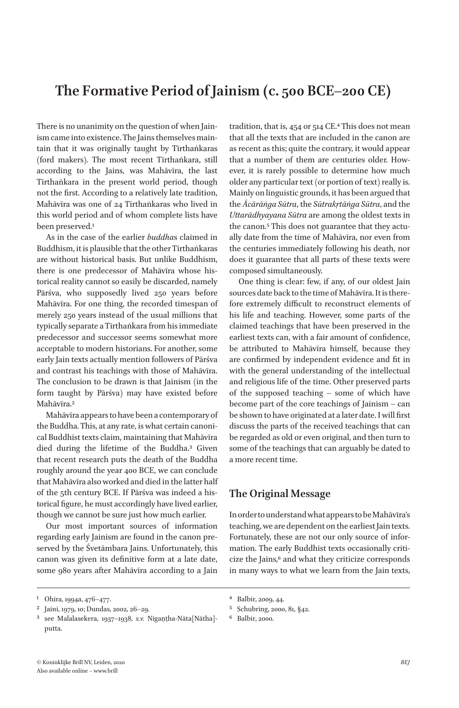# **The Formative Period of Jainism (c. 500 BCE–200 CE)**

There is no unanimity on the question of when Jainism came into existence. The Jains themselves maintain that it was originally taught by Tīrthaṅkaras (ford makers). The most recent Tīrthaṅkara, still according to the Jains, was Mahāvīra, the last Tīrthaṅkara in the present world period, though not the first. According to a relatively late tradition, Mahāvīra was one of 24 Tīrthaṅkaras who lived in this world period and of whom complete lists have been preserved.<sup>1</sup>

As in the case of the earlier *buddha*s claimed in Buddhism, it is plausible that the other Tīrthaṅkaras are without historical basis. But unlike Buddhism, there is one predecessor of Mahāvīra whose historical reality cannot so easily be discarded, namely Pārśva, who supposedly lived 250 years before Mahāvīra. For one thing, the recorded timespan of merely 250 years instead of the usual millions that typically separate a Tīrthaṅkara from his immediate predecessor and successor seems somewhat more acceptable to modern historians. For another, some early Jain texts actually mention followers of Pārśva and contrast his teachings with those of Mahāvīra. The conclusion to be drawn is that Jainism (in the form taught by Pārśva) may have existed before Mahāvīra.2

Mahāvīra appears to have been a contemporary of the Buddha. This, at any rate, is what certain canonical Buddhist texts claim, maintaining that Mahāvīra died during the lifetime of the Buddha.3 Given that recent research puts the death of the Buddha roughly around the year 400 BCE, we can conclude that Mahāvīra also worked and died in the latter half of the 5th century BCE. If Pārśva was indeed a historical figure, he must accordingly have lived earlier, though we cannot be sure just how much earlier.

Our most important sources of information regarding early Jainism are found in the canon preserved by the Śvetāmbara Jains. Unfortunately, this canon was given its definitive form at a late date, some 980 years after Mahāvīra according to a Jain tradition, that is, 454 or 514 CE.4 This does not mean that all the texts that are included in the canon are as recent as this; quite the contrary, it would appear that a number of them are centuries older. However, it is rarely possible to determine how much older any particular text (or portion of text) really is. Mainly on linguistic grounds, it has been argued that the *Ācārāṅga Sūtra*, the *Sūtrakṛtāṅga Sūtra*, and the *Uttarādhyayana Sūtra* are among the oldest texts in the canon.<sup>5</sup> This does not guarantee that they actually date from the time of Mahāvīra, nor even from the centuries immediately following his death, nor does it guarantee that all parts of these texts were composed simultaneously.

One thing is clear: few, if any, of our oldest Jain sources date back to the time of Mahāvīra. It is therefore extremely difficult to reconstruct elements of his life and teaching. However, some parts of the claimed teachings that have been preserved in the earliest texts can, with a fair amount of confidence, be attributed to Mahāvīra himself, because they are confirmed by independent evidence and fit in with the general understanding of the intellectual and religious life of the time. Other preserved parts of the supposed teaching – some of which have become part of the core teachings of Jainism – can be shown to have originated at a later date. I will first discuss the parts of the received teachings that can be regarded as old or even original, and then turn to some of the teachings that can arguably be dated to a more recent time.

# **The Original Message**

In order to understand what appears to be Mahāvīra's teaching, we are dependent on the earliest Jain texts. Fortunately, these are not our only source of information. The early Buddhist texts occasionally criticize the Jains,<sup>6</sup> and what they criticize corresponds in many ways to what we learn from the Jain texts,

4 Balbir, 2009, 44.

<sup>1</sup> Ohira, 1994a, 476–477.

<sup>&</sup>lt;sup>2</sup> Jaini, 1979, 10; Dundas, 2002, 26–29.<br><sup>3</sup> See Malalasekera, 1027–1028, S.V.

<sup>3</sup> see Malalasekera, 1937–1938, *s.v.* Nigaṇṭha-Nāta[Nātha] putta.

<sup>5</sup> Schubring, 2000, 81, §42.

<sup>6</sup> Balbir, 2000.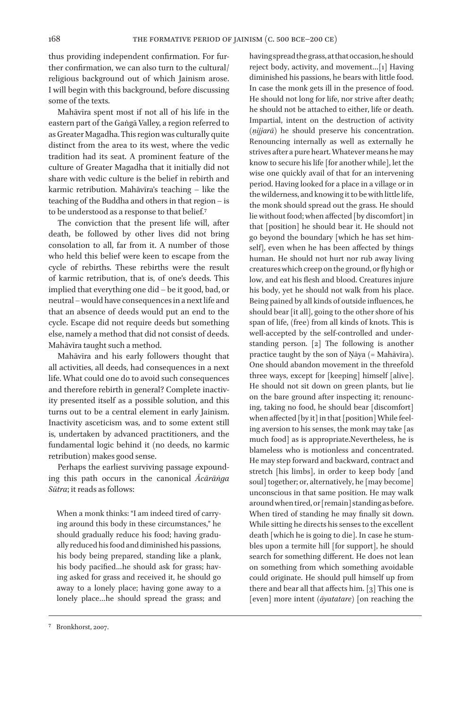thus providing independent confirmation. For further confirmation, we can also turn to the cultural/ religious background out of which Jainism arose. I will begin with this background, before discussing some of the texts.

Mahāvīra spent most if not all of his life in the eastern part of the Gaṅgā Valley, a region referred to as Greater Magadha. This region was culturally quite distinct from the area to its west, where the vedic tradition had its seat. A prominent feature of the culture of Greater Magadha that it initially did not share with vedic culture is the belief in rebirth and karmic retribution. Mahāvīra's teaching – like the teaching of the Buddha and others in that region – is to be understood as a response to that belief.7

The conviction that the present life will, after death, be followed by other lives did not bring consolation to all, far from it. A number of those who held this belief were keen to escape from the cycle of rebirths. These rebirths were the result of karmic retribution, that is, of one's deeds. This implied that everything one did – be it good, bad, or neutral – would have consequences in a next life and that an absence of deeds would put an end to the cycle. Escape did not require deeds but something else, namely a method that did not consist of deeds. Mahāvīra taught such a method.

Mahāvīra and his early followers thought that all activities, all deeds, had consequences in a next life. What could one do to avoid such consequences and therefore rebirth in general? Complete inactivity presented itself as a possible solution, and this turns out to be a central element in early Jainism. Inactivity asceticism was, and to some extent still is, undertaken by advanced practitioners, and the fundamental logic behind it (no deeds, no karmic retribution) makes good sense.

Perhaps the earliest surviving passage expounding this path occurs in the canonical *Ācārāṅga Sūtra*; it reads as follows:

When a monk thinks: "I am indeed tired of carrying around this body in these circumstances," he should gradually reduce his food; having gradually reduced his food and diminished his passions, his body being prepared, standing like a plank, his body pacified…he should ask for grass; having asked for grass and received it, he should go away to a lonely place; having gone away to a lonely place…he should spread the grass; and

having spread the grass, at that occasion, he should reject body, activity, and movement…[1] Having diminished his passions, he bears with little food. In case the monk gets ill in the presence of food. He should not long for life, nor strive after death; he should not be attached to either, life or death. Impartial, intent on the destruction of activity (*ṇijjarā*) he should preserve his concentration. Renouncing internally as well as externally he strives after a pure heart. Whatever means he may know to secure his life [for another while], let the wise one quickly avail of that for an intervening period. Having looked for a place in a village or in the wilderness, and knowing it to be with little life, the monk should spread out the grass. He should lie without food; when affected [by discomfort] in that [position] he should bear it. He should not go beyond the boundary [which he has set himself], even when he has been affected by things human. He should not hurt nor rub away living creatures which creep on the ground, or fly high or low, and eat his flesh and blood. Creatures injure his body, yet he should not walk from his place. Being pained by all kinds of outside influences, he should bear [it all], going to the other shore of his span of life, (free) from all kinds of knots. This is well-accepted by the self-controlled and understanding person. [2] The following is another practice taught by the son of Nāya (= Mahāvīra). One should abandon movement in the threefold three ways, except for [keeping] himself [alive]. He should not sit down on green plants, but lie on the bare ground after inspecting it; renouncing, taking no food, he should bear [discomfort] when affected [by it] in that [position] While feeling aversion to his senses, the monk may take [as much food] as is appropriate.Nevertheless, he is blameless who is motionless and concentrated. He may step forward and backward, contract and stretch [his limbs], in order to keep body [and soul] together; or, alternatively, he [may become] unconscious in that same position. He may walk around when tired, or [remain] standing as before. When tired of standing he may finally sit down. While sitting he directs his senses to the excellent death [which he is going to die]. In case he stumbles upon a termite hill [for support], he should search for something different. He does not lean on something from which something avoidable could originate. He should pull himself up from there and bear all that affects him. [3] This one is [even] more intent (*āyatatare*) [on reaching the

<sup>7</sup> Bronkhorst, 2007.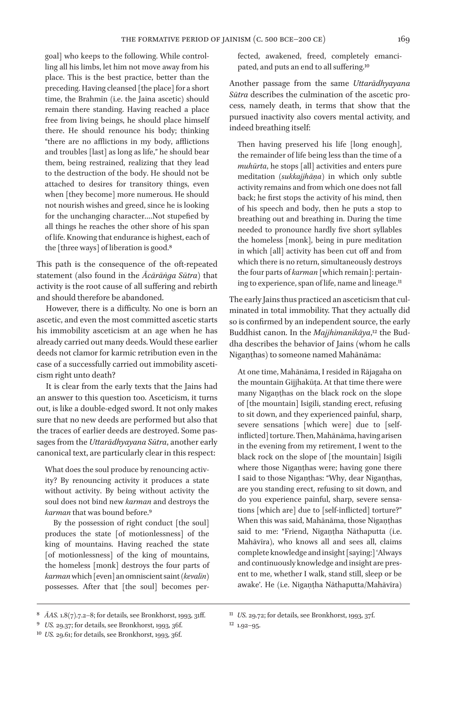goal] who keeps to the following. While controlling all his limbs, let him not move away from his place. This is the best practice, better than the preceding. Having cleansed [the place] for a short time, the Brahmin (i.e. the Jaina ascetic) should remain there standing. Having reached a place free from living beings, he should place himself there. He should renounce his body; thinking "there are no afflictions in my body, afflictions and troubles [last] as long as life," he should bear them, being restrained, realizing that they lead to the destruction of the body. He should not be attached to desires for transitory things, even when [they become] more numerous. He should not nourish wishes and greed, since he is looking for the unchanging character.…Not stupefied by all things he reaches the other shore of his span of life. Knowing that endurance is highest, each of the [three ways] of liberation is good.8

This path is the consequence of the oft-repeated statement (also found in the *Ācārāṅga Sūtra*) that activity is the root cause of all suffering and rebirth and should therefore be abandoned.

However, there is a difficulty. No one is born an ascetic, and even the most committed ascetic starts his immobility asceticism at an age when he has already carried out many deeds. Would these earlier deeds not clamor for karmic retribution even in the case of a successfully carried out immobility asceticism right unto death?

It is clear from the early texts that the Jains had an answer to this question too. Asceticism, it turns out, is like a double-edged sword. It not only makes sure that no new deeds are performed but also that the traces of earlier deeds are destroyed. Some passages from the *Uttarādhyayana Sūtra*, another early canonical text, are particularly clear in this respect:

What does the soul produce by renouncing activity? By renouncing activity it produces a state without activity. By being without activity the soul does not bind new *karman* and destroys the *karman* that was bound before.9

By the possession of right conduct [the soul] produces the state [of motionlessness] of the king of mountains. Having reached the state [of motionlessness] of the king of mountains, the homeless [monk] destroys the four parts of *karman* which [even] an omniscient saint (*kevalin*) possesses. After that [the soul] becomes perfected, awakened, freed, completely emancipated, and puts an end to all suffering.10

Another passage from the same *Uttarādhyayana Sūtra* describes the culmination of the ascetic process, namely death, in terms that show that the pursued inactivity also covers mental activity, and indeed breathing itself:

Then having preserved his life [long enough], the remainder of life being less than the time of a *muhūrta*, he stops [all] activities and enters pure meditation (*sukkajjhāṇa*) in which only subtle activity remains and from which one does not fall back; he first stops the activity of his mind, then of his speech and body, then he puts a stop to breathing out and breathing in. During the time needed to pronounce hardly five short syllables the homeless [monk], being in pure meditation in which [all] activity has been cut off and from which there is no return, simultaneously destroys the four parts of *karman* [which remain]: pertaining to experience, span of life, name and lineage.<sup>11</sup>

The early Jains thus practiced an asceticism that culminated in total immobility. That they actually did so is confirmed by an independent source, the early Buddhist canon. In the *Majjhimanikāya*,<sup>12</sup> the Buddha describes the behavior of Jains (whom he calls Nigaṇṭhas) to someone named Mahānāma:

At one time, Mahānāma, I resided in Rājagaha on the mountain Gijjhakūṭa. At that time there were many Nigaṇṭhas on the black rock on the slope of [the mountain] Isigili, standing erect, refusing to sit down, and they experienced painful, sharp, severe sensations [which were] due to [selfinflicted] torture. Then, Mahānāma, having arisen in the evening from my retirement, I went to the black rock on the slope of [the mountain] Isigili where those Nigaṇṭhas were; having gone there I said to those Nigaṇṭhas: "Why, dear Nigaṇṭhas, are you standing erect, refusing to sit down, and do you experience painful, sharp, severe sensations [which are] due to [self-inflicted] torture?" When this was said, Mahānāma, those Nigaṇṭhas said to me: "Friend, Nigaṇṭha Nāthaputta (i.e. Mahāvīra), who knows all and sees all, claims complete knowledge and insight [saying:] 'Always and continuously knowledge and insight are present to me, whether I walk, stand still, sleep or be awake'. He (i.e. Nigaṇṭha Nāthaputta/Mahāvīra)

<sup>8</sup> *ĀAS.* 1.8(7).7.2–8; for details, see Bronkhorst, 1993, 31ff.

<sup>9</sup> *US.* 29.37; for details, see Bronkhorst, 1993, 36f.

<sup>10</sup> *US.* 29.61; for details, see Bronkhorst, 1993, 36f.

<sup>11</sup> *US.* 29.72; for details, see Bronkhorst, 1993, 37f.

 $12$  1.92-95.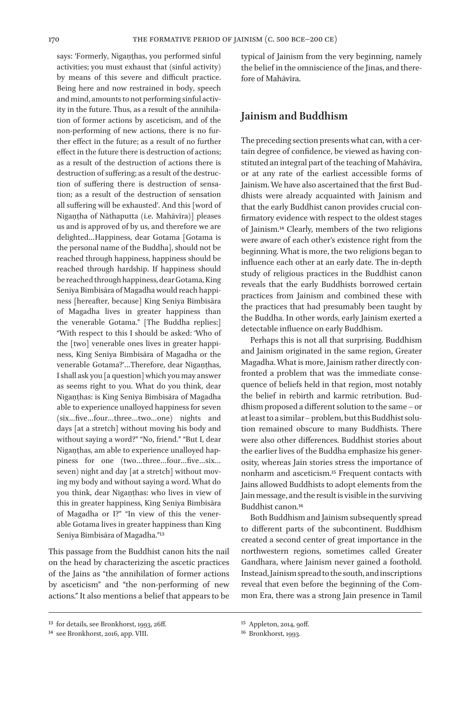says: 'Formerly, Niganthas, you performed sinful activities; you must exhaust that (sinful activity) by means of this severe and difficult practice. Being here and now restrained in body, speech and mind, amounts to not performing sinful activity in the future. Thus, as a result of the annihilation of former actions by asceticism, and of the non-performing of new actions, there is no further effect in the future; as a result of no further effect in the future there is destruction of actions; as a result of the destruction of actions there is destruction of suffering; as a result of the destruction of suffering there is destruction of sensation; as a result of the destruction of sensation all suffering will be exhausted'. And this [word of Nigaṇṭha of Nāthaputta (i.e. Mahāvīra)] pleases us and is approved of by us, and therefore we are delighted…Happiness, dear Gotama [Gotama is the personal name of the Buddha], should not be reached through happiness, happiness should be reached through hardship. If happiness should be reached through happiness, dear Gotama, King Seniya Bimbisāra of Magadha would reach happiness [hereafter, because] King Seniya Bimbisāra of Magadha lives in greater happiness than the venerable Gotama." [The Buddha replies:] "With respect to this I should be asked: 'Who of the [two] venerable ones lives in greater happiness, King Seniya Bimbisāra of Magadha or the venerable Gotama?'…Therefore, dear Nigaṇṭhas, I shall ask you [a question] which you may answer as seems right to you. What do you think, dear Nigaṇṭhas: is King Seniya Bimbisāra of Magadha able to experience unalloyed happiness for seven (six…five…four…three…two…one) nights and days [at a stretch] without moving his body and without saying a word?" "No, friend." "But I, dear Nigaṇṭhas, am able to experience unalloyed happiness for one (two…three…four…five…six… seven) night and day [at a stretch] without moving my body and without saying a word. What do you think, dear Nigaṇṭhas: who lives in view of this in greater happiness, King Seniya Bimbisāra of Magadha or I?" "In view of this the venerable Gotama lives in greater happiness than King Seniya Bimbisāra of Magadha."13

This passage from the Buddhist canon hits the nail on the head by characterizing the ascetic practices of the Jains as "the annihilation of former actions by asceticism" and "the non-performing of new actions." It also mentions a belief that appears to be typical of Jainism from the very beginning, namely the belief in the omniscience of the Jinas, and therefore of Mahāvīra.

## **Jainism and Buddhism**

The preceding section presents what can, with a certain degree of confidence, be viewed as having constituted an integral part of the teaching of Mahāvīra, or at any rate of the earliest accessible forms of Jainism. We have also ascertained that the first Buddhists were already acquainted with Jainism and that the early Buddhist canon provides crucial confirmatory evidence with respect to the oldest stages of Jainism.14 Clearly, members of the two religions were aware of each other's existence right from the beginning. What is more, the two religions began to influence each other at an early date. The in-depth study of religious practices in the Buddhist canon reveals that the early Buddhists borrowed certain practices from Jainism and combined these with the practices that had presumably been taught by the Buddha. In other words, early Jainism exerted a detectable influence on early Buddhism.

Perhaps this is not all that surprising. Buddhism and Jainism originated in the same region, Greater Magadha. What is more, Jainism rather directly confronted a problem that was the immediate consequence of beliefs held in that region, most notably the belief in rebirth and karmic retribution. Buddhism proposed a different solution to the same – or at least to a similar – problem, but this Buddhist solution remained obscure to many Buddhists. There were also other differences. Buddhist stories about the earlier lives of the Buddha emphasize his generosity, whereas Jain stories stress the importance of nonharm and asceticism.15 Frequent contacts with Jains allowed Buddhists to adopt elements from the Jain message, and the result is visible in the surviving Buddhist canon.16

Both Buddhism and Jainism subsequently spread to different parts of the subcontinent. Buddhism created a second center of great importance in the northwestern regions, sometimes called Greater Gandhara, where Jainism never gained a foothold. Instead, Jainism spread to the south, and inscriptions reveal that even before the beginning of the Common Era, there was a strong Jain presence in Tamil

<sup>13</sup> for details, see Bronkhorst, 1993, 26ff.

<sup>14</sup> see Bronkhorst, 2016, app. VIII.

<sup>15</sup> Appleton, 2014, 90ff.

<sup>16</sup> Bronkhorst, 1993.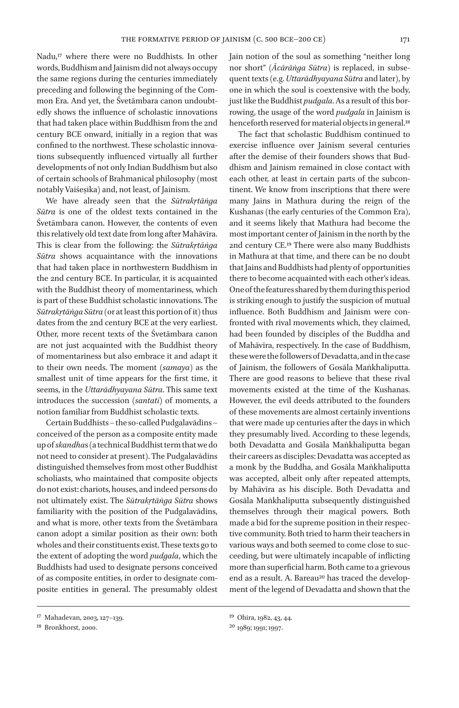Nadu,17 where there were no Buddhists. In other words, Buddhism and Jainism did not always occupy the same regions during the centuries immediately preceding and following the beginning of the Common Era. And yet, the Śvetāmbara canon undoubtedly shows the influence of scholastic innovations that had taken place within Buddhism from the 2nd century BCE onward, initially in a region that was confined to the northwest. These scholastic innovations subsequently influenced virtually all further developments of not only Indian Buddhism but also of certain schools of Brahmanical philosophy (most notably Vaiśeṣika) and, not least, of Jainism.

We have already seen that the *Sūtrakṛtāṅga Sūtra* is one of the oldest texts contained in the Śvetāmbara canon. However, the contents of even this relatively old text date from long after Mahāvīra. This is clear from the following: the *Sūtrakṛtāṅga Sūtra* shows acquaintance with the innovations that had taken place in northwestern Buddhism in the 2nd century BCE. In particular, it is acquainted with the Buddhist theory of momentariness, which is part of these Buddhist scholastic innovations. The *Sūtrakṛtāṅga Sūtra* (or at least this portion of it) thus dates from the 2nd century BCE at the very earliest. Other, more recent texts of the Śvetāmbara canon are not just acquainted with the Buddhist theory of momentariness but also embrace it and adapt it to their own needs. The moment (*samaya*) as the smallest unit of time appears for the first time, it seems, in the *Uttarādhyayana Sūtra*. This same text introduces the succession (*santati*) of moments, a notion familiar from Buddhist scholastic texts.

Certain Buddhists – the so-called Pudgalavādins – conceived of the person as a composite entity made up of *skandha*s (a technical Buddhist term that we do not need to consider at present). The Pudgalavādins distinguished themselves from most other Buddhist scholiasts, who maintained that composite objects do not exist: chariots, houses, and indeed persons do not ultimately exist. The *Sūtrakṛtāṅga Sūtra* shows familiarity with the position of the Pudgalavādins, and what is more, other texts from the Śvetāmbara canon adopt a similar position as their own: both wholes and their constituents exist. These texts go to the extent of adopting the word *pudgala*, which the Buddhists had used to designate persons conceived of as composite entities, in order to designate composite entities in general. The presumably oldest

The fact that scholastic Buddhism continued to exercise influence over Jainism several centuries after the demise of their founders shows that Buddhism and Jainism remained in close contact with each other, at least in certain parts of the subcontinent. We know from inscriptions that there were many Jains in Mathura during the reign of the Kushanas (the early centuries of the Common Era), and it seems likely that Mathura had become the most important center of Jainism in the north by the 2nd century CE.19 There were also many Buddhists in Mathura at that time, and there can be no doubt that Jains and Buddhists had plenty of opportunities there to become acquainted with each other's ideas. One of the features shared by them during this period is striking enough to justify the suspicion of mutual influence. Both Buddhism and Jainism were confronted with rival movements which, they claimed, had been founded by disciples of the Buddha and of Mahāvīra, respectively. In the case of Buddhism, these were the followers of Devadatta, and in the case of Jainism, the followers of Gosāla Maṅkhaliputta. There are good reasons to believe that these rival movements existed at the time of the Kushanas. However, the evil deeds attributed to the founders of these movements are almost certainly inventions that were made up centuries after the days in which they presumably lived. According to these legends, both Devadatta and Gosāla Maṅkhaliputta began their careers as disciples: Devadatta was accepted as a monk by the Buddha, and Gosāla Maṅkhaliputta was accepted, albeit only after repeated attempts, by Mahāvīra as his disciple. Both Devadatta and Gosāla Maṅkhaliputta subsequently distinguished themselves through their magical powers. Both made a bid for the supreme position in their respective community. Both tried to harm their teachers in various ways and both seemed to come close to succeeding, but were ultimately incapable of inflicting more than superficial harm. Both came to a grievous end as a result. A. Bareau<sup>20</sup> has traced the development of the legend of Devadatta and shown that the

Jain notion of the soul as something "neither long nor short" (*Ācārāṅga Sūtra*) is replaced, in subsequent texts (e.g. *Uttarādhyayana Sūtra* and later), by one in which the soul is coextensive with the body, just like the Buddhist *pudgala*. As a result of this borrowing, the usage of the word *pudgala* in Jainism is henceforth reserved for material objects in general.<sup>18</sup>

<sup>17</sup> Mahadevan, 2003, 127–139.

<sup>18</sup> Bronkhorst, 2000.

<sup>19</sup> Ohira, 1982, 43, 44.

<sup>20</sup> 1989; 1991; 1997.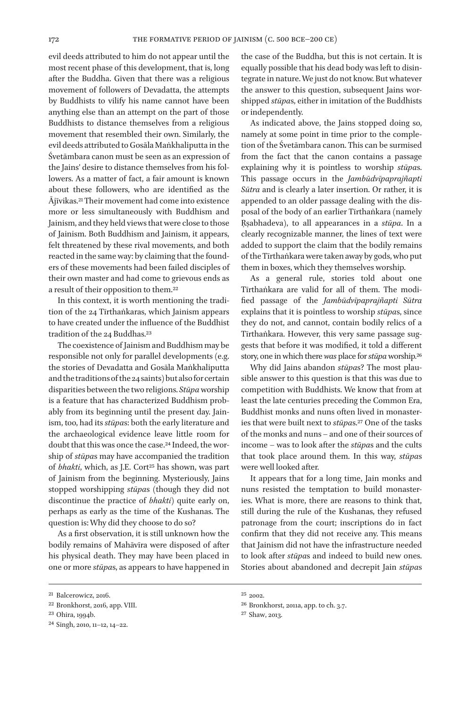evil deeds attributed to him do not appear until the most recent phase of this development, that is, long after the Buddha. Given that there was a religious movement of followers of Devadatta, the attempts by Buddhists to vilify his name cannot have been anything else than an attempt on the part of those Buddhists to distance themselves from a religious movement that resembled their own. Similarly, the evil deeds attributed to Gosāla Maṅkhaliputta in the Śvetāmbara canon must be seen as an expression of the Jains' desire to distance themselves from his followers. As a matter of fact, a fair amount is known about these followers, who are identified as the Ājīvikas.21 Their movement had come into existence more or less simultaneously with Buddhism and Jainism, and they held views that were close to those of Jainism. Both Buddhism and Jainism, it appears, felt threatened by these rival movements, and both reacted in the same way: by claiming that the founders of these movements had been failed disciples of their own master and had come to grievous ends as a result of their opposition to them.22

In this context, it is worth mentioning the tradition of the 24 Tīrthaṅkaras, which Jainism appears to have created under the influence of the Buddhist tradition of the 24 Buddhas.23

The coexistence of Jainism and Buddhism may be responsible not only for parallel developments (e.g. the stories of Devadatta and Gosāla Maṅkhaliputta and the traditions of the 24 saints) but also for certain disparities between the two religions. *Stūpa* worship is a feature that has characterized Buddhism probably from its beginning until the present day. Jainism, too, had its *stūpa*s: both the early literature and the archaeological evidence leave little room for doubt that this was once the case.24 Indeed, the worship of *stūpa*s may have accompanied the tradition of *bhakti*, which, as J.E. Cort<sup>25</sup> has shown, was part of Jainism from the beginning. Mysteriously, Jains stopped worshipping *stūpa*s (though they did not discontinue the practice of *bhakti*) quite early on, perhaps as early as the time of the Kushanas. The question is: Why did they choose to do so?

As a first observation, it is still unknown how the bodily remains of Mahāvīra were disposed of after his physical death. They may have been placed in one or more *stūpa*s, as appears to have happened in

the case of the Buddha, but this is not certain. It is equally possible that his dead body was left to disintegrate in nature. We just do not know. But whatever the answer to this question, subsequent Jains worshipped *stūpa*s, either in imitation of the Buddhists or independently.

As indicated above, the Jains stopped doing so, namely at some point in time prior to the completion of the Śvetāmbara canon. This can be surmised from the fact that the canon contains a passage explaining why it is pointless to worship *stūpa*s. This passage occurs in the *Jambūdvīpaprajñapti Sūtra* and is clearly a later insertion. Or rather, it is appended to an older passage dealing with the disposal of the body of an earlier Tīrthaṅkara (namely Ṛṣabhadeva), to all appearances in a *stūpa*. In a clearly recognizable manner, the lines of text were added to support the claim that the bodily remains of the Tīrthaṅkara were taken away by gods, who put them in boxes, which they themselves worship.

As a general rule, stories told about one Tīrthaṅkara are valid for all of them. The modified passage of the *Jambūdvīpaprajñapti Sūtra* explains that it is pointless to worship *stūpa*s, since they do not, and cannot, contain bodily relics of a Tīrthaṅkara. However, this very same passage suggests that before it was modified, it told a different story, one in which there *was* place for *stūpa* worship.26

Why did Jains abandon *stūpa*s? The most plausible answer to this question is that this was due to competition with Buddhists. We know that from at least the late centuries preceding the Common Era, Buddhist monks and nuns often lived in monasteries that were built next to *stūpa*s.27 One of the tasks of the monks and nuns – and one of their sources of income – was to look after the *stūpa*s and the cults that took place around them. In this way, *stūpa*s were well looked after.

It appears that for a long time, Jain monks and nuns resisted the temptation to build monasteries. What is more, there are reasons to think that, still during the rule of the Kushanas, they refused patronage from the court; inscriptions do in fact confirm that they did not receive any. This means that Jainism did not have the infrastructure needed to look after *stūpa*s and indeed to build new ones. Stories about abandoned and decrepit Jain *stūpa*s

<sup>21</sup> Balcerowicz, 2016.

<sup>22</sup> Bronkhorst, 2016, app. VIII.

<sup>23</sup> Ohira, 1994b.

<sup>24</sup> Singh, 2010, 11–12, 14–22.

<sup>25</sup> 2002.

<sup>26</sup> Bronkhorst, 2011a, app. to ch. 3.7.

<sup>27</sup> Shaw, 2013.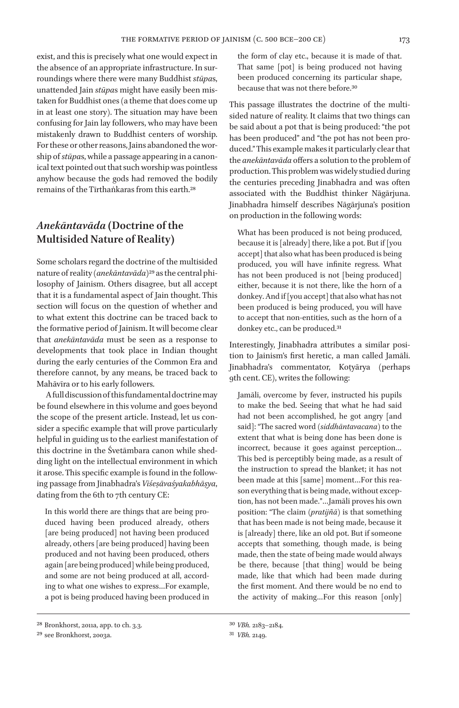exist, and this is precisely what one would expect in the absence of an appropriate infrastructure. In surroundings where there were many Buddhist *stūpa*s, unattended Jain *stūpa*s might have easily been mistaken for Buddhist ones (a theme that does come up in at least one story). The situation may have been confusing for Jain lay followers, who may have been mistakenly drawn to Buddhist centers of worship. For these or other reasons, Jains abandoned the worship of *stūpa*s, while a passage appearing in a canonical text pointed out that such worship was pointless anyhow because the gods had removed the bodily remains of the Tīrthaṅkaras from this earth.28

# *Anekāntavāda* **(Doctrine of the Multisided Nature of Reality)**

Some scholars regard the doctrine of the multisided nature of reality (*anekāntavāda*)29 as the central philosophy of Jainism. Others disagree, but all accept that it is a fundamental aspect of Jain thought. This section will focus on the question of whether and to what extent this doctrine can be traced back to the formative period of Jainism. It will become clear that *anekāntavāda* must be seen as a response to developments that took place in Indian thought during the early centuries of the Common Era and therefore cannot, by any means, be traced back to Mahāvīra or to his early followers.

A full discussion of this fundamental doctrine may be found elsewhere in this volume and goes beyond the scope of the present article. Instead, let us consider a specific example that will prove particularly helpful in guiding us to the earliest manifestation of this doctrine in the Śvetāmbara canon while shedding light on the intellectual environment in which it arose. This specific example is found in the following passage from Jinabhadra's *Viśeṣāvaśyakabhāṣya*, dating from the 6th to 7th century CE:

In this world there are things that are being produced having been produced already, others [are being produced] not having been produced already, others [are being produced] having been produced and not having been produced, others again [are being produced] while being produced, and some are not being produced at all, according to what one wishes to express…For example, a pot is being produced having been produced in

This passage illustrates the doctrine of the multisided nature of reality. It claims that two things can be said about a pot that is being produced: "the pot has been produced" and "the pot has not been produced." This example makes it particularly clear that the *anekāntavāda* offers a solution to the problem of production. This problem was widely studied during the centuries preceding Jinabhadra and was often associated with the Buddhist thinker Nāgārjuna. Jinabhadra himself describes Nāgārjuna's position on production in the following words:

What has been produced is not being produced, because it is [already] there, like a pot. But if [you accept] that also what has been produced is being produced, you will have infinite regress. What has not been produced is not [being produced] either, because it is not there, like the horn of a donkey. And if [you accept] that also what has not been produced is being produced, you will have to accept that non-entities, such as the horn of a donkey etc., can be produced.<sup>31</sup>

Interestingly, Jinabhadra attributes a similar position to Jainism's first heretic, a man called Jamāli. Jinabhadra's commentator, Koṭyārya (perhaps 9th cent. CE), writes the following:

Jamāli, overcome by fever, instructed his pupils to make the bed. Seeing that what he had said had not been accomplished, he got angry [and said]: "The sacred word (*siddhāntavacana*) to the extent that what is being done has been done is incorrect, because it goes against perception… This bed is perceptibly being made, as a result of the instruction to spread the blanket; it has not been made at this [same] moment…For this reason everything that is being made, without exception, has not been made."…Jamāli proves his own position: "The claim (*pratijñā*) is that something that has been made is not being made, because it is [already] there, like an old pot. But if someone accepts that something, though made, is being made, then the state of being made would always be there, because [that thing] would be being made, like that which had been made during the first moment. And there would be no end to the activity of making…For this reason [only]

the form of clay etc., because it is made of that. That same [pot] is being produced not having been produced concerning its particular shape, because that was not there before.30

<sup>28</sup> Bronkhorst, 2011a, app. to ch. 3.3.

<sup>29</sup> see Bronkhorst, 2003a.

<sup>30</sup> *VBh.* 2183–2184.

<sup>31</sup> *VBh.* 2149.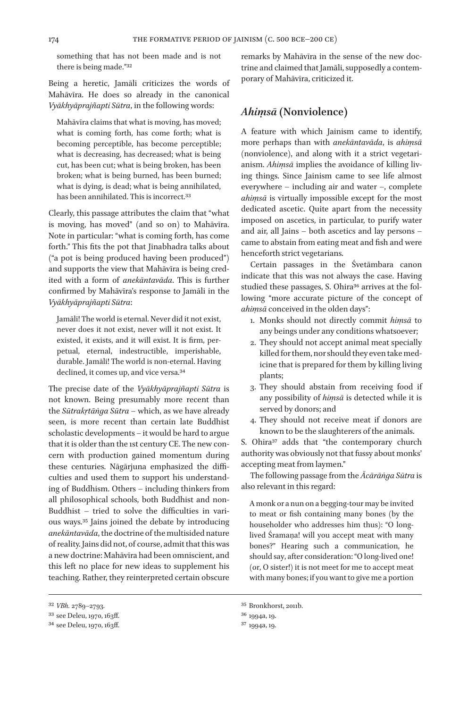something that has not been made and is not there is being made."32

Being a heretic, Jamāli criticizes the words of Mahāvīra. He does so already in the canonical *Vyākhyāprajñapti Sūtra*, in the following words:

Mahāvīra claims that what is moving, has moved; what is coming forth, has come forth; what is becoming perceptible, has become perceptible; what is decreasing, has decreased; what is being cut, has been cut; what is being broken, has been broken; what is being burned, has been burned; what is dying, is dead; what is being annihilated, has been annihilated. This is incorrect.33

Clearly, this passage attributes the claim that "what is moving, has moved" (and so on) to Mahāvīra. Note in particular: "what is coming forth, has come forth." This fits the pot that Jinabhadra talks about ("a pot is being produced having been produced") and supports the view that Mahāvīra is being credited with a form of *anekāntavāda*. This is further confirmed by Mahāvīra's response to Jamāli in the *Vyākhyāprajñapti Sūtra*:

Jamāli! The world is eternal. Never did it not exist, never does it not exist, never will it not exist. It existed, it exists, and it will exist. It is firm, perpetual, eternal, indestructible, imperishable, durable. Jamāli! The world is non-eternal. Having declined, it comes up, and vice versa.<sup>34</sup>

The precise date of the *Vyākhyāprajñapti Sūtra* is not known. Being presumably more recent than the *Sūtrakṛtāṅga Sūtra* – which, as we have already seen, is more recent than certain late Buddhist scholastic developments – it would be hard to argue that it is older than the 1st century CE. The new concern with production gained momentum during these centuries. Nāgārjuna emphasized the difficulties and used them to support his understanding of Buddhism. Others – including thinkers from all philosophical schools, both Buddhist and non-Buddhist – tried to solve the difficulties in various ways.35 Jains joined the debate by introducing *anekāntavāda*, the doctrine of the multisided nature of reality. Jains did not, of course, admit that this was a new doctrine: Mahāvīra had been omniscient, and this left no place for new ideas to supplement his teaching. Rather, they reinterpreted certain obscure

remarks by Mahāvīra in the sense of the new doctrine and claimed that Jamāli, supposedly a contemporary of Mahāvīra, criticized it.

## *Ahiṃsā* **(Nonviolence)**

A feature with which Jainism came to identify, more perhaps than with *anekāntavāda*, is *ahiṃsā* (nonviolence), and along with it a strict vegetarianism. *Ahiṃsā* implies the avoidance of killing living things. Since Jainism came to see life almost everywhere – including air and water –, complete *ahiṃsā* is virtually impossible except for the most dedicated ascetic. Quite apart from the necessity imposed on ascetics, in particular, to purify water and air, all Jains – both ascetics and lay persons – came to abstain from eating meat and fish and were henceforth strict vegetarians.

Certain passages in the Śvetāmbara canon indicate that this was not always the case. Having studied these passages, S. Ohira<sup>36</sup> arrives at the following "more accurate picture of the concept of *ahiṃsā* conceived in the olden days":

- 1. Monks should not directly commit *hiṃsā* to any beings under any conditions whatsoever;
- 2. They should not accept animal meat specially killed for them, nor should they even take medicine that is prepared for them by killing living plants;
- 3. They should abstain from receiving food if any possibility of *hiṃsā* is detected while it is served by donors; and
- 4. They should not receive meat if donors are known to be the slaughterers of the animals.

S. Ohira<sup>37</sup> adds that "the contemporary church authority was obviously not that fussy about monks' accepting meat from laymen."

The following passage from the *Ācārāṅga Sūtra* is also relevant in this regard:

A monk or a nun on a begging-tour may be invited to meat or fish containing many bones (by the householder who addresses him thus): "O longlived Śramaṇa! will you accept meat with many bones?" Hearing such a communication, he should say, after consideration: "O long-lived one! (or, O sister!) it is not meet for me to accept meat with many bones; if you want to give me a portion

<sup>32</sup> *VBh.* 2789–2793.

<sup>33</sup> see Deleu, 1970, 163ff.

<sup>34</sup> see Deleu, 1970, 163ff.

<sup>35</sup> Bronkhorst, 2011b.

<sup>36</sup> 1994a, 19.

<sup>37</sup> 1994a, 19.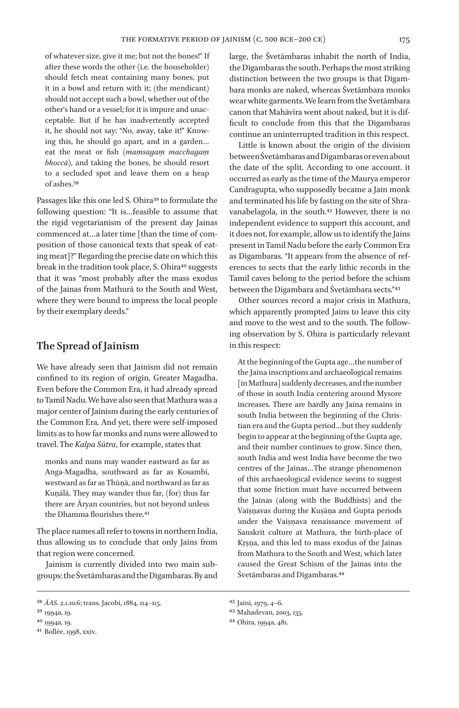of whatever size, give it me; but not the bones!" If after these words the other (i.e. the householder) should fetch meat containing many bones, put it in a bowl and return with it; (the mendicant) should not accept such a bowl, whether out of the other's hand or a vessel; for it is impure and unacceptable. But if he has inadvertently accepted it, he should not say: "No, away, take it!" Knowing this, he should go apart, and in a garden… eat the meat or fish (*maṃsagaṃ macchagaṃ bhoccā*), and taking the bones, he should resort to a secluded spot and leave them on a heap of ashes.38

Passages like this one led S. Ohira<sup>39</sup> to formulate the following question: "It is…feasible to assume that the rigid vegetarianism of the present day Jainas commenced at ... a later time [than the time of composition of those canonical texts that speak of eating meat]?" Regarding the precise date on which this break in the tradition took place, S. Ohira<sup>40</sup> suggests that it was "most probably after the mass exodus of the Jainas from Mathurā to the South and West, where they were bound to impress the local people by their exemplary deeds."

## **The Spread of Jainism**

We have already seen that Jainism did not remain confined to its region of origin, Greater Magadha. Even before the Common Era, it had already spread to Tamil Nadu. We have also seen that Mathura was a major center of Jainism during the early centuries of the Common Era. And yet, there were self-imposed limits as to how far monks and nuns were allowed to travel. The *Kalpa Sūtra*, for example, states that

monks and nuns may wander eastward as far as Anga-Magadha, southward as far as Kosambī, westward as far as Thūṇā, and northward as far as Kuṇālā. They may wander thus far, (for) thus far there are Āryan countries, but not beyond unless the Dhamma flourishes there.<sup>41</sup>

The place names all refer to towns in northern India, thus allowing us to conclude that only Jains from that region were concerned.

Jainism is currently divided into two main subgroups: the Śvetāmbaras and the Digambaras. By and

41 Bollée, 1998, xxiv.

large, the Śvetāmbaras inhabit the north of India, the Digambaras the south. Perhaps the most striking distinction between the two groups is that Digambara monks are naked, whereas Śvetāmbara monks wear white garments. We learn from the Śvetāmbara canon that Mahāvīra went about naked, but it is difficult to conclude from this that the Digambaras continue an uninterrupted tradition in this respect.

Little is known about the origin of the division between Śvetāmbaras and Digambaras or even about the date of the split. According to one account. it occurred as early as the time of the Maurya emperor Candragupta, who supposedly became a Jain monk and terminated his life by fasting on the site of Shravanabelagola, in the south.42 However, there is no independent evidence to support this account, and it does not, for example, allow us to identify the Jains present in Tamil Nadu before the early Common Era as Digambaras. "It appears from the absence of references to sects that the early lithic records in the Tamil caves belong to the period before the schism between the Digambara and Śvetāmbara sects."43

Other sources record a major crisis in Mathura, which apparently prompted Jains to leave this city and move to the west and to the south. The following observation by S. Ohira is particularly relevant in this respect:

At the beginning of the Gupta age…the number of the Jaina inscriptions and archaeological remains [in Mathura] suddenly decreases, and the number of those in south India centering around Mysore increases. There are hardly any Jaina remains in south India between the beginning of the Christian era and the Gupta period…but they suddenly begin to appear at the beginning of the Gupta age, and their number continues to grow. Since then, south India and west India have become the two centres of the Jainas…The strange phenomenon of this archaeological evidence seems to suggest that some friction must have occurred between the Jainas (along with the Buddhists) and the Vaiṣṇavas during the Kuṣāṇa and Gupta periods under the Vaiṣṇava renaissance movement of Sanskrit culture at Mathura, the birth-place of Kṛṣṇa, and this led to mass exodus of the Jainas from Mathura to the South and West, which later caused the Great Schism of the Jainas into the Śvetāmbaras and Digambaras.44

<sup>38</sup> *ĀAS*. 2.1.10.6; trans. Jacobi, 1884, 114–115.

<sup>39</sup> 1994a, 19.

<sup>40</sup> 1994a, 19.

<sup>42</sup> Jaini, 1979, 4–6.

<sup>43</sup> Mahadevan, 2003, 135.

<sup>44</sup> Ohira, 1994a, 481.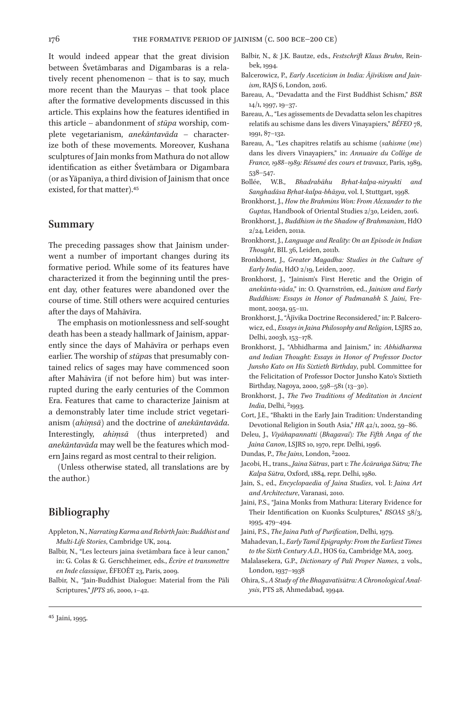It would indeed appear that the great division between Śvetāmbaras and Digambaras is a relatively recent phenomenon – that is to say, much more recent than the Mauryas – that took place after the formative developments discussed in this article. This explains how the features identified in this article – abandonment of *stūpa* worship, complete vegetarianism, *anekāntavāda* – characterize both of these movements. Moreover, Kushana sculptures of Jain monks from Mathura do not allow identification as either Śvetāmbara or Digambara (or as Yāpanīya, a third division of Jainism that once existed, for that matter).45

#### **Summary**

The preceding passages show that Jainism underwent a number of important changes during its formative period. While some of its features have characterized it from the beginning until the present day, other features were abandoned over the course of time. Still others were acquired centuries after the days of Mahāvīra.

The emphasis on motionlessness and self-sought death has been a steady hallmark of Jainism, apparently since the days of Mahāvīra or perhaps even earlier. The worship of *stūpa*s that presumably contained relics of sages may have commenced soon after Mahāvīra (if not before him) but was interrupted during the early centuries of the Common Era. Features that came to characterize Jainism at a demonstrably later time include strict vegetarianism (*ahiṃsā*) and the doctrine of *anekāntavāda*. Interestingly, *ahiṃsā* (thus interpreted) and *anekāntavāda* may well be the features which modern Jains regard as most central to their religion.

(Unless otherwise stated, all translations are by the author.)

# **Bibliography**

- Appleton, N., *Narrating Karma and Rebirth Jain: Buddhist and Multi-Life Stories*, Cambridge UK, 2014.
- Balbir, N., "Les lecteurs jaina śvetāmbara face à leur canon," in: G. Colas & G. Gerschheimer, eds., *Écrire et transmettre en Inde classique*, ÉFEOÉT 23, Paris, 2009.
- Balbir, N., "Jain-Buddhist Dialogue: Material from the Pāli Scriptures," *JPTS* 26, 2000, 1–42.
- Balbir, N., & J.K. Bautze, eds., *Festschrift Klaus Bruhn*, Reinbek, 1994.
- Balcerowicz, P., *Early Asceticism in India: Ājīvikism and Jainism*, RAJS 6, London, 2016.
- Bareau, A., "Devadatta and the First Buddhist Schism," *BSR* 14/1, 1997, 19–37.
- Bareau, A., "Les agissements de Devadatta selon les chapitres relatifs au schisme dans les divers Vinayapiers," *BÉFEO* 78, 1991, 87–132.
- Bareau, A., "Les chapitres relatifs au schisme (*sahisme (me*) dans les divers Vinayapiers," in: *Annuaire du Collège de France, 1988–1989: Résumé des cours et travaux*, Paris, 1989, 538–547.
- Bollée, W.B., *Bhadrabāhu Bṛhat-kalpa-niryukti and Sanghadāsa Bṛhat-kalpa-bhāṣya*, vol. I, Stuttgart, 1998.
- Bronkhorst, J., *How the Brahmins Won: From Alexander to the Guptas*, Handbook of Oriental Studies 2/30, Leiden, 2016.
- Bronkhorst, J., *Buddhism in the Shadow of Brahmanism*, HdO 2/24, Leiden, 2011a.
- Bronkhorst, J., *Language and Reality: On an Episode in Indian Thought*, BIL 36, Leiden, 2011b.
- Bronkhorst, J., *Greater Magadha: Studies in the Culture of Early India*, HdO 2/19, Leiden, 2007.
- Bronkhorst, J., "Jainism's First Heretic and the Origin of *anekānta-vāda*," in: O. Qvarnström, ed., *Jainism and Early Buddhism: Essays in Honor of Padmanabh S. Jaini*, Fremont, 2003a, 95–111.
- Bronkhorst, J., "Ājīvika Doctrine Reconsidered," in: P. Balcerowicz, ed., *Essays in Jaina Philosophy and Religion*, LSJRS 20, Delhi, 2003b, 153–178.
- Bronkhorst, J., "Abhidharma and Jainism," in: *Abhidharma and Indian Thought: Essays in Honor of Professor Doctor Junsho Kato on His Sixtieth Birthday*, publ. Committee for the Felicitation of Professor Doctor Junsho Kato's Sixtieth Birthday, Nagoya, 2000, 598–581 (13–30).
- Bronkhorst, J., *The Two Traditions of Meditation in Ancient India*, Delhi, 21993.
- Cort, J.E., "Bhakti in the Early Jain Tradition: Understanding Devotional Religion in South Asia," *HR* 42/1, 2002, 59–86.
- Deleu, J., *Viyāhapannatti (Bhagavaī): The Fifth Anga of the Jaina Canon*, LSJRS 10, 1970, repr. Delhi, 1996.
- Dundas, P., *The Jains*, London, 22002.
- Jacobi, H., trans., *Jaina Sūtras*, part 1: *The Ācāraṅga Sūtra; The Kalpa Sūtra*, Oxford, 1884, repr. Delhi, 1980.
- Jain, S., ed., *Encyclopaedia of Jaina Studies*, vol. I: *Jaina Art and Architecture*, Varanasi, 2010.
- Jaini, P.S., "Jaina Monks from Mathura: Literary Evidence for Their Identification on Kuonks Sculptures," *BSOAS* 58/3, 1995, 479–494.
- Jaini, P.S., *The Jaina Path of Purification*, Delhi, 1979.
- Mahadevan, I., *Early Tamil Epigraphy: From the Earliest Times to the Sixth Century A.D.*, HOS 62, Cambridge MA, 2003.
- Malalasekera, G.P., *Dictionary of Pali Proper Names*, 2 vols., London, 1937–1938
- Ohira, S., *A Study of the Bhagavatīsūtra: A Chronological Analysis*, PTS 28, Ahmedabad, 1994a.

<sup>45</sup> Jaini, 1995.